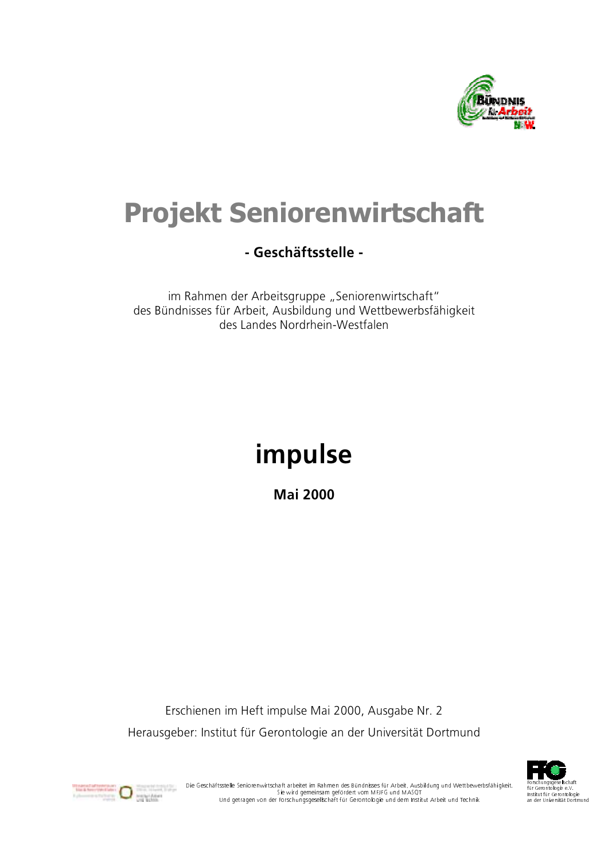

# **Projekt Seniorenwirtschaft**

# - Geschäftsstelle -

im Rahmen der Arbeitsgruppe "Seniorenwirtschaft" des Bündnisses für Arbeit, Ausbildung und Wettbewerbsfähigkeit des Landes Nordrhein-Westfalen

# impulse

**Mai 2000** 

Erschienen im Heft impulse Mai 2000, Ausgabe Nr. 2 Herausgeber: Institut für Gerontologie an der Universität Dortmund



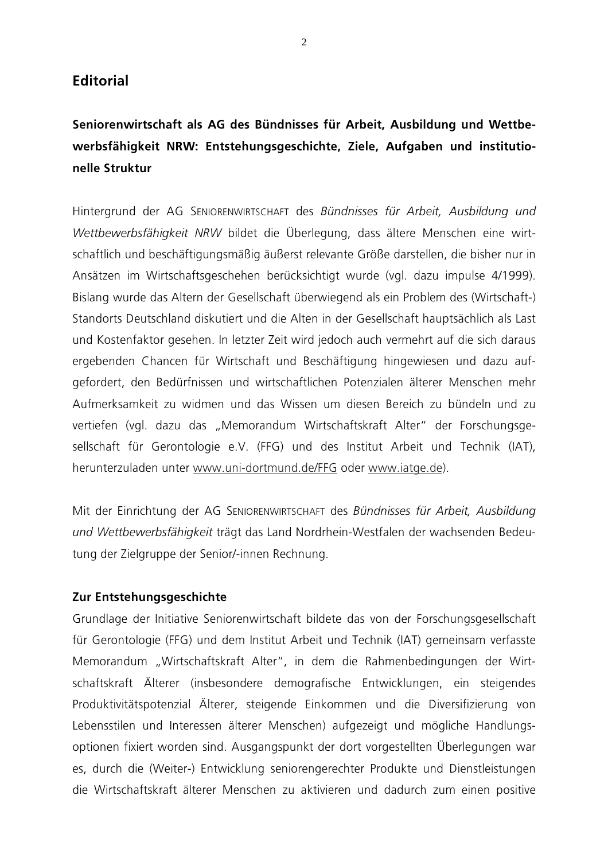# **Editorial**

# Seniorenwirtschaft als AG des Bündnisses für Arbeit, Ausbildung und Wettbewerbsfähigkeit NRW: Entstehungsgeschichte, Ziele, Aufgaben und institutionelle Struktur

Hintergrund der AG SENIORENWIRTSCHAFT des Bündnisses für Arbeit, Ausbildung und Wettbewerbsfähigkeit NRW bildet die Überlegung, dass ältere Menschen eine wirtschaftlich und beschäftigungsmäßig äußerst relevante Größe darstellen, die bisher nur in Ansätzen im Wirtschaftsgeschehen berücksichtigt wurde (vgl. dazu impulse 4/1999). Bislang wurde das Altern der Gesellschaft überwiegend als ein Problem des (Wirtschaft-) Standorts Deutschland diskutiert und die Alten in der Gesellschaft hauptsächlich als Last und Kostenfaktor gesehen. In letzter Zeit wird jedoch auch vermehrt auf die sich daraus ergebenden Chancen für Wirtschaft und Beschäftigung hingewiesen und dazu aufgefordert, den Bedürfnissen und wirtschaftlichen Potenzialen älterer Menschen mehr Aufmerksamkeit zu widmen und das Wissen um diesen Bereich zu bündeln und zu vertiefen (vgl. dazu das "Memorandum Wirtschaftskraft Alter" der Forschungsgesellschaft für Gerontologie e.V. (FFG) und des Institut Arbeit und Technik (IAT), herunterzuladen unter www.uni-dortmund.de/FFG oder www.iatge.de).

Mit der Einrichtung der AG SENIORENWIRTSCHAFT des Bündnisses für Arbeit, Ausbildung und Wettbewerbsfähigkeit trägt das Land Nordrhein-Westfalen der wachsenden Bedeutung der Zielgruppe der Senior/-innen Rechnung.

### Zur Entstehungsgeschichte

Grundlage der Initiative Seniorenwirtschaft bildete das von der Forschungsgesellschaft für Gerontologie (FFG) und dem Institut Arbeit und Technik (IAT) gemeinsam verfasste Memorandum "Wirtschaftskraft Alter", in dem die Rahmenbedingungen der Wirtschaftskraft Älterer (insbesondere demografische Entwicklungen, ein steigendes Produktivitätspotenzial Älterer, steigende Einkommen und die Diversifizierung von Lebensstilen und Interessen älterer Menschen) aufgezeigt und mögliche Handlungsoptionen fixiert worden sind. Ausgangspunkt der dort vorgestellten Überlegungen war es, durch die (Weiter-) Entwicklung seniorengerechter Produkte und Dienstleistungen die Wirtschaftskraft älterer Menschen zu aktivieren und dadurch zum einen positive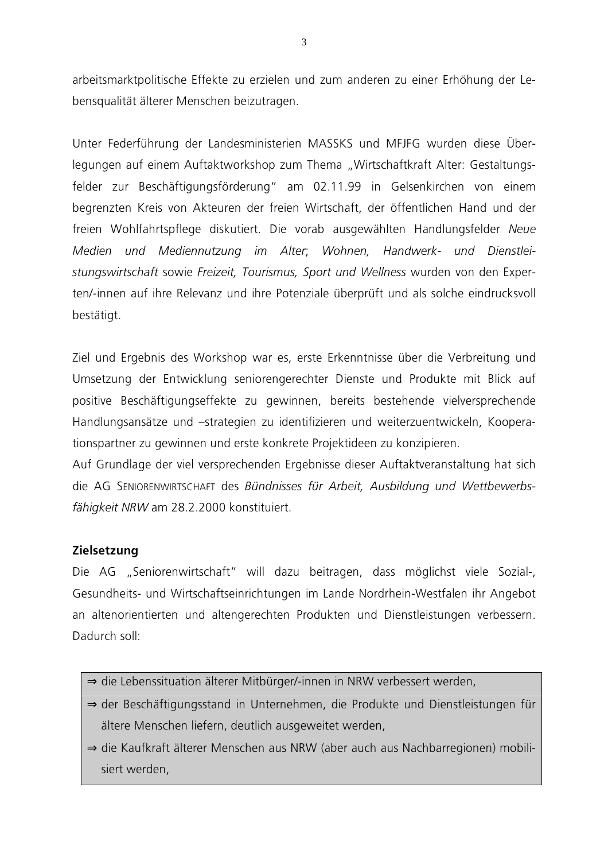arbeitsmarktpolitische Effekte zu erzielen und zum anderen zu einer Erhöhung der Lebensqualität älterer Menschen beizutragen.

Unter Federführung der Landesministerien MASSKS und MFJFG wurden diese Überlegungen auf einem Auftaktworkshop zum Thema "Wirtschaftkraft Alter: Gestaltungsfelder zur Beschäftigungsförderung" am 02.11.99 in Gelsenkirchen von einem begrenzten Kreis von Akteuren der freien Wirtschaft, der öffentlichen Hand und der freien Wohlfahrtspflege diskutiert. Die vorab ausgewählten Handlungsfelder Neue Medien und Mediennutzung im Alter; Wohnen, Handwerk- und Dienstleistungswirtschaft sowie Freizeit, Tourismus, Sport und Wellness wurden von den Experten/-innen auf ihre Relevanz und ihre Potenziale überprüft und als solche eindrucksvoll bestätigt.

Ziel und Ergebnis des Workshop war es, erste Erkenntnisse über die Verbreitung und Umsetzung der Entwicklung seniorengerechter Dienste und Produkte mit Blick auf positive Beschäftigungseffekte zu gewinnen, bereits bestehende vielversprechende Handlungsansätze und -strategien zu identifizieren und weiterzuentwickeln, Kooperationspartner zu gewinnen und erste konkrete Projektideen zu konzipieren.

Auf Grundlage der viel versprechenden Ergebnisse dieser Auftaktveranstaltung hat sich die AG SENIORENWIRTSCHAFT des Bündnisses für Arbeit, Ausbildung und Wettbewerbsfähigkeit NRW am 28.2.2000 konstituiert.

# Zielsetzung

Die AG "Seniorenwirtschaft" will dazu beitragen, dass möglichst viele Sozial-, Gesundheits- und Wirtschaftseinrichtungen im Lande Nordrhein-Westfalen ihr Angebot an altenorientierten und altengerechten Produkten und Dienstleistungen verbessern. Dadurch soll:

- ⇒ die Lebenssituation älterer Mitbürger/-innen in NRW verbessert werden,
- ⇒ der Beschäftigungsstand in Unternehmen, die Produkte und Dienstleistungen für ältere Menschen liefern, deutlich ausgeweitet werden,
- ⇒ die Kaufkraft älterer Menschen aus NRW (aber auch aus Nachbarregionen) mobilisiert werden.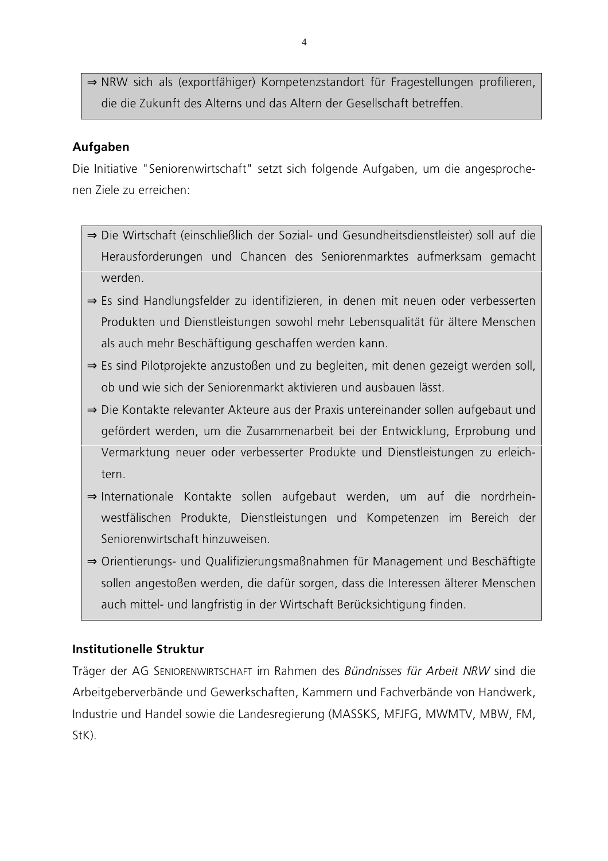⇒ NRW sich als (exportfähiger) Kompetenzstandort für Fragestellungen profilieren, die die Zukunft des Alterns und das Altern der Gesellschaft betreffen.

# Aufgaben

Die Initiative "Seniorenwirtschaft" setzt sich folgende Aufgaben, um die angesprochenen Ziele zu erreichen:

- ⇒ Die Wirtschaft (einschließlich der Sozial- und Gesundheitsdienstleister) soll auf die Herausforderungen und Chancen des Seniorenmarktes aufmerksam gemacht werden
- $\Rightarrow$  Es sind Handlungsfelder zu identifizieren, in denen mit neuen oder verbesserten Produkten und Dienstleistungen sowohl mehr Lebensqualität für ältere Menschen als auch mehr Beschäftigung geschaffen werden kann.
- $\Rightarrow$  Es sind Pilotprojekte anzustoßen und zu begleiten, mit denen gezeigt werden soll, ob und wie sich der Seniorenmarkt aktivieren und ausbauen lässt
- ⇒ Die Kontakte relevanter Akteure aus der Praxis untereinander sollen aufgebaut und gefördert werden, um die Zusammenarbeit bei der Entwicklung, Erprobung und Vermarktung neuer oder verbesserter Produkte und Dienstleistungen zu erleichtern
- $\Rightarrow$  Internationale Kontakte sollen aufgebaut werden, um auf die nordrheinwestfälischen Produkte, Dienstleistungen und Kompetenzen im Bereich der Seniorenwirtschaft hinzuweisen.
- ⇒ Orientierungs- und Qualifizierungsmaßnahmen für Management und Beschäftigte sollen angestoßen werden, die dafür sorgen, dass die Interessen älterer Menschen auch mittel- und langfristig in der Wirtschaft Berücksichtigung finden.

# **Institutionelle Struktur**

Träger der AG SENIORENWIRTSCHAFT im Rahmen des Bündnisses für Arbeit NRW sind die Arbeitgeberverbände und Gewerkschaften, Kammern und Fachverbände von Handwerk, Industrie und Handel sowie die Landesregierung (MASSKS, MFJFG, MWMTV, MBW, FM, StK).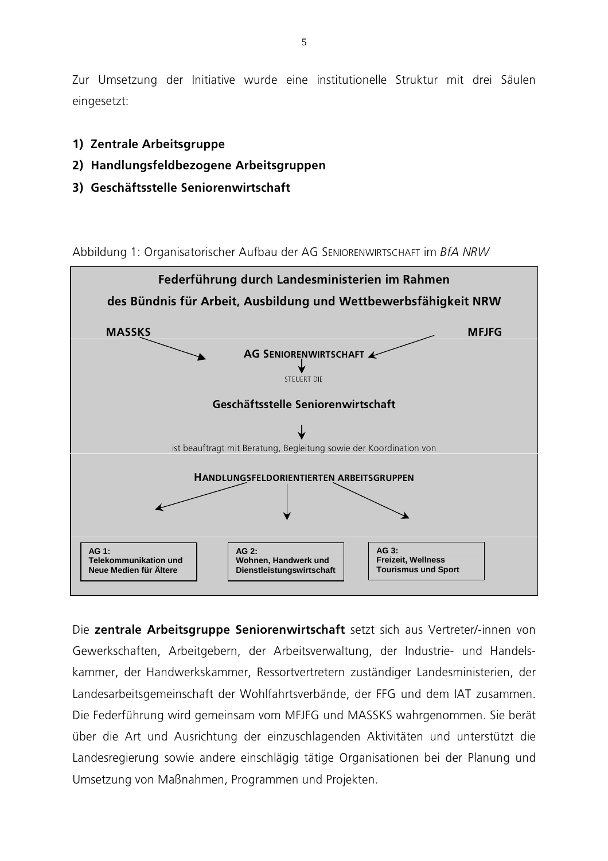Zur Umsetzung der Initiative wurde eine institutionelle Struktur mit drei Säulen eingesetzt:

- 1) Zentrale Arbeitsgruppe
- 2) Handlungsfeldbezogene Arbeitsgruppen
- 3) Geschäftsstelle Seniorenwirtschaft





Die zentrale Arbeitsgruppe Seniorenwirtschaft setzt sich aus Vertreter/-innen von Gewerkschaften, Arbeitgebern, der Arbeitsverwaltung, der Industrie- und Handelskammer, der Handwerkskammer, Ressortvertretern zuständiger Landesministerien, der Landesarbeitsgemeinschaft der Wohlfahrtsverbände, der FFG und dem IAT zusammen. Die Federführung wird gemeinsam vom MFJFG und MASSKS wahrgenommen. Sie berät über die Art und Ausrichtung der einzuschlagenden Aktivitäten und unterstützt die Landesregierung sowie andere einschlägig tätige Organisationen bei der Planung und Umsetzung von Maßnahmen, Programmen und Projekten.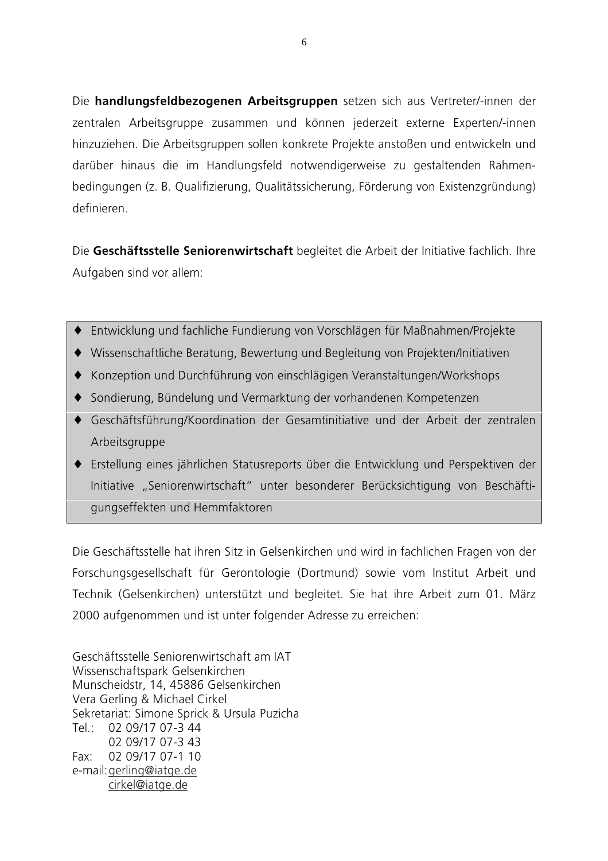Die handlungsfeldbezogenen Arbeitsgruppen setzen sich aus Vertreter/-innen der zentralen Arbeitsgruppe zusammen und können jederzeit externe Experten/-innen hinzuziehen. Die Arbeitsgruppen sollen konkrete Projekte anstoßen und entwickeln und darüber hinaus die im Handlungsfeld notwendigerweise zu gestaltenden Rahmenbedingungen (z. B. Qualifizierung, Qualitätssicherung, Förderung von Existenzgründung) definieren.

Die Geschäftsstelle Seniorenwirtschaft begleitet die Arbeit der Initiative fachlich. Ihre Aufgaben sind vor allem:

- ◆ Entwicklung und fachliche Fundierung von Vorschlägen für Maßnahmen/Projekte
- Wissenschaftliche Beratung, Bewertung und Begleitung von Projekten/Initiativen
- ◆ Konzeption und Durchführung von einschlägigen Veranstaltungen/Workshops
- Sondierung, Bündelung und Vermarktung der vorhandenen Kompetenzen
- Geschäftsführung/Koordination der Gesamtinitiative und der Arbeit der zentralen Arbeitsgruppe
- Erstellung eines jährlichen Statusreports über die Entwicklung und Perspektiven der Initiative "Seniorenwirtschaft" unter besonderer Berücksichtigung von Beschäftigungseffekten und Hemmfaktoren

Die Geschäftsstelle hat ihren Sitz in Gelsenkirchen und wird in fachlichen Fragen von der Forschungsgesellschaft für Gerontologie (Dortmund) sowie vom Institut Arbeit und Technik (Gelsenkirchen) unterstützt und begleitet. Sie hat ihre Arbeit zum 01. März 2000 aufgenommen und ist unter folgender Adresse zu erreichen:

Geschäftsstelle Seniorenwirtschaft am IAT Wissenschaftspark Gelsenkirchen Munscheidstr, 14, 45886 Gelsenkirchen Vera Gerling & Michael Cirkel Sekretariat: Simone Sprick & Ursula Puzicha Tel.: 02 09/17 07-3 44 02 09/17 07-3 43 02 09/17 07-1 10  $Fax$ e-mail: gerling@iatge.de cirkel@iatge.de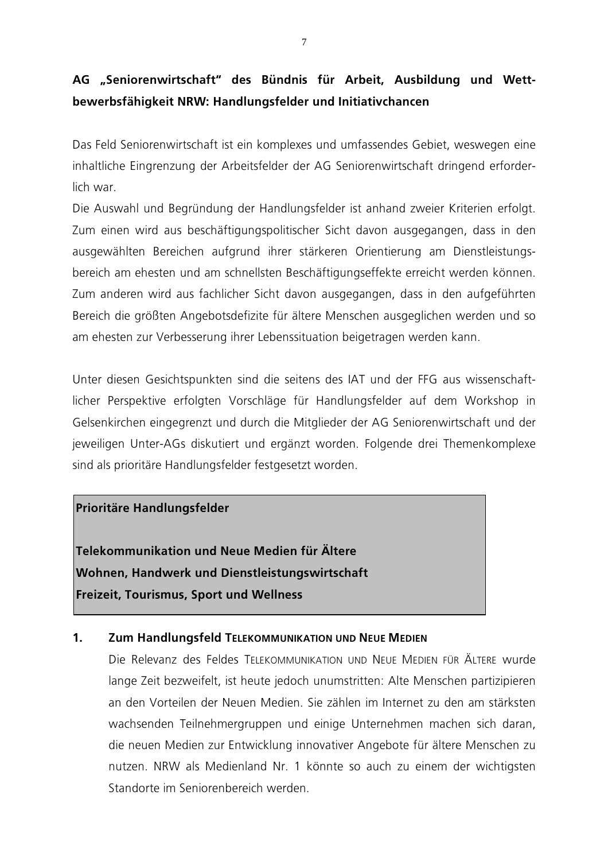# AG "Seniorenwirtschaft" des Bündnis für Arbeit, Ausbildung und Wettbewerbsfähigkeit NRW: Handlungsfelder und Initiativchancen

Das Feld Seniorenwirtschaft ist ein komplexes und umfassendes Gebiet, weswegen eine inhaltliche Eingrenzung der Arbeitsfelder der AG Seniorenwirtschaft dringend erforderlich war

Die Auswahl und Begründung der Handlungsfelder ist anhand zweier Kriterien erfolgt. Zum einen wird aus beschäftigungspolitischer Sicht davon ausgegangen, dass in den ausgewählten Bereichen aufgrund ihrer stärkeren Orientierung am Dienstleistungsbereich am ehesten und am schnellsten Beschäftigungseffekte erreicht werden können. Zum anderen wird aus fachlicher Sicht davon ausgegangen, dass in den aufgeführten Bereich die größten Angebotsdefizite für ältere Menschen ausgeglichen werden und so am ehesten zur Verbesserung ihrer Lebenssituation beigetragen werden kann.

Unter diesen Gesichtspunkten sind die seitens des IAT und der FFG aus wissenschaftlicher Perspektive erfolgten Vorschläge für Handlungsfelder auf dem Workshop in Gelsenkirchen eingegrenzt und durch die Mitglieder der AG Seniorenwirtschaft und der jeweiligen Unter-AGs diskutiert und ergänzt worden. Folgende drei Themenkomplexe sind als prioritäre Handlungsfelder festgesetzt worden.

# Prioritäre Handlungsfelder

Telekommunikation und Neue Medien für Ältere Wohnen, Handwerk und Dienstleistungswirtschaft Freizeit, Tourismus, Sport und Wellness

#### $1<sub>1</sub>$ Zum Handlungsfeld TELEKOMMUNIKATION UND NEUE MEDIEN

Die Relevanz des Feldes TELEKOMMUNIKATION UND NEUE MEDIEN FÜR ÄLTERE WURde lange Zeit bezweifelt, ist heute jedoch unumstritten: Alte Menschen partizipieren an den Vorteilen der Neuen Medien. Sie zählen im Internet zu den am stärksten wachsenden Teilnehmergruppen und einige Unternehmen machen sich daran, die neuen Medien zur Entwicklung innovativer Angebote für ältere Menschen zu nutzen. NRW als Medienland Nr. 1 könnte so auch zu einem der wichtigsten Standorte im Seniorenbereich werden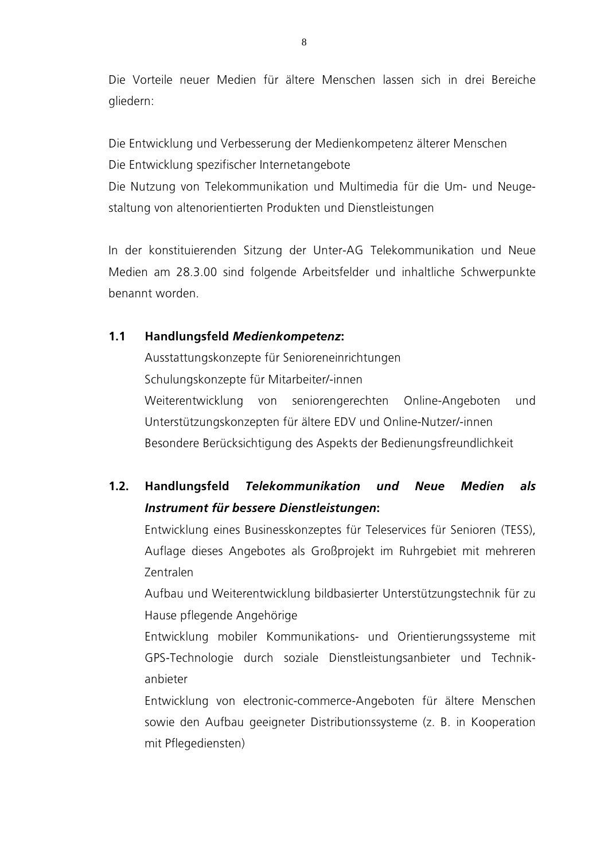Die Vorteile neuer Medien für ältere Menschen lassen sich in drei Bereiche gliedern:

Die Entwicklung und Verbesserung der Medienkompetenz älterer Menschen Die Entwicklung spezifischer Internetangebote

Die Nutzung von Telekommunikation und Multimedia für die Um- und Neugestaltung von altenorientierten Produkten und Dienstleistungen

In der konstituierenden Sitzung der Unter-AG Telekommunikation und Neue Medien am 28.3.00 sind folgende Arbeitsfelder und inhaltliche Schwerpunkte benannt worden

#### $1.1$ Handlungsfeld Medienkompetenz:

Ausstattungskonzepte für Senioreneinrichtungen Schulungskonzepte für Mitarbeiter/-innen Weiterentwicklung von seniorengerechten Online-Angeboten und Unterstützungskonzepten für ältere EDV und Online-Nutzer/-innen Besondere Berücksichtigung des Aspekts der Bedienungsfreundlichkeit

#### $1.2.$ Handlungsfeld Telekommunikation und Neue Medien als Instrument für bessere Dienstleistungen:

Entwicklung eines Businesskonzeptes für Teleservices für Senioren (TESS), Auflage dieses Angebotes als Großprojekt im Ruhrgebiet mit mehreren Zentralen

Aufbau und Weiterentwicklung bildbasierter Unterstützungstechnik für zu Hause pflegende Angehörige

Entwicklung mobiler Kommunikations- und Orientierungssysteme mit GPS-Technologie durch soziale Dienstleistungsanbieter und Technikanbieter

Entwicklung von electronic-commerce-Angeboten für ältere Menschen sowie den Aufbau geeigneter Distributionssysteme (z. B. in Kooperation mit Pflegediensten)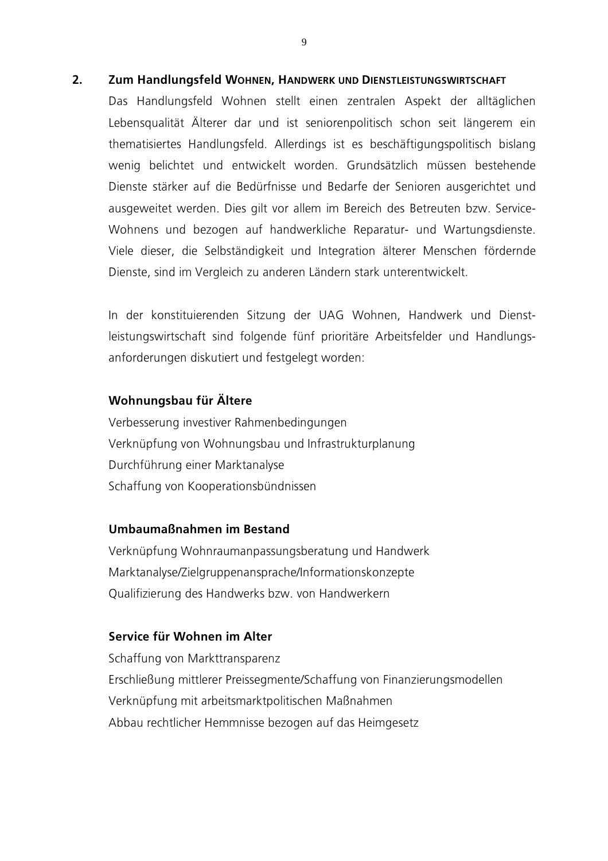#### $2.$ Zum Handlungsfeld WOHNEN, HANDWERK UND DIENSTLEISTUNGSWIRTSCHAFT

Das Handlungsfeld Wohnen stellt einen zentralen Aspekt der alltäglichen Lebensqualität Älterer dar und ist seniorenpolitisch schon seit längerem ein thematisiertes Handlungsfeld. Allerdings ist es beschäftigungspolitisch bislang wenig belichtet und entwickelt worden. Grundsätzlich müssen bestehende Dienste stärker auf die Bedürfnisse und Bedarfe der Senioren ausgerichtet und ausgeweitet werden. Dies gilt vor allem im Bereich des Betreuten bzw. Service-Wohnens und bezogen auf handwerkliche Reparatur- und Wartungsdienste. Viele dieser, die Selbständigkeit und Integration älterer Menschen fördernde Dienste, sind im Vergleich zu anderen Ländern stark unterentwickelt.

In der konstituierenden Sitzung der UAG Wohnen, Handwerk und Dienstleistungswirtschaft sind folgende fünf prioritäre Arbeitsfelder und Handlungsanforderungen diskutiert und festgelegt worden:

### Wohnungsbau für Ältere

Verbesserung investiver Rahmenbedingungen Verknüpfung von Wohnungsbau und Infrastrukturplanung Durchführung einer Marktanalyse Schaffung von Kooperationsbündnissen

### Umbaumaßnahmen im Bestand

Verknüpfung Wohnraumanpassungsberatung und Handwerk Marktanalyse/Zielgruppenansprache/Informationskonzepte Qualifizierung des Handwerks bzw. von Handwerkern

## Service für Wohnen im Alter

Schaffung von Markttransparenz Erschließung mittlerer Preissegmente/Schaffung von Finanzierungsmodellen Verknüpfung mit arbeitsmarktpolitischen Maßnahmen Abbau rechtlicher Hemmnisse bezogen auf das Heimgesetz